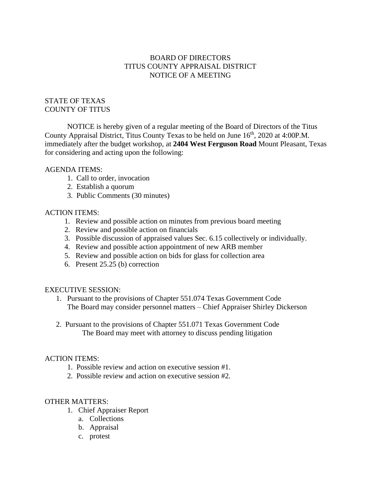## BOARD OF DIRECTORS TITUS COUNTY APPRAISAL DISTRICT NOTICE OF A MEETING

## STATE OF TEXAS COUNTY OF TITUS

NOTICE is hereby given of a regular meeting of the Board of Directors of the Titus County Appraisal District, Titus County Texas to be held on June 16<sup>th</sup>, 2020 at 4:00P.M. immediately after the budget workshop, at **2404 West Ferguson Road** Mount Pleasant, Texas for considering and acting upon the following:

#### AGENDA ITEMS:

- 1. Call to order, invocation
- 2. Establish a quorum
- 3. Public Comments (30 minutes)

## ACTION ITEMS:

- 1. Review and possible action on minutes from previous board meeting
- 2. Review and possible action on financials
- 3. Possible discussion of appraised values Sec. 6.15 collectively or individually.
- 4. Review and possible action appointment of new ARB member
- 5. Review and possible action on bids for glass for collection area
- 6. Present 25.25 (b) correction

#### EXECUTIVE SESSION:

- 1. Pursuant to the provisions of Chapter 551.074 Texas Government Code The Board may consider personnel matters – Chief Appraiser Shirley Dickerson
- 2. Pursuant to the provisions of Chapter 551.071 Texas Government Code The Board may meet with attorney to discuss pending litigation

#### ACTION ITEMS:

- 1. Possible review and action on executive session #1.
- 2. Possible review and action on executive session #2.

# OTHER MATTERS:

- 1. Chief Appraiser Report
	- a. Collections
	- b. Appraisal
	- c. protest